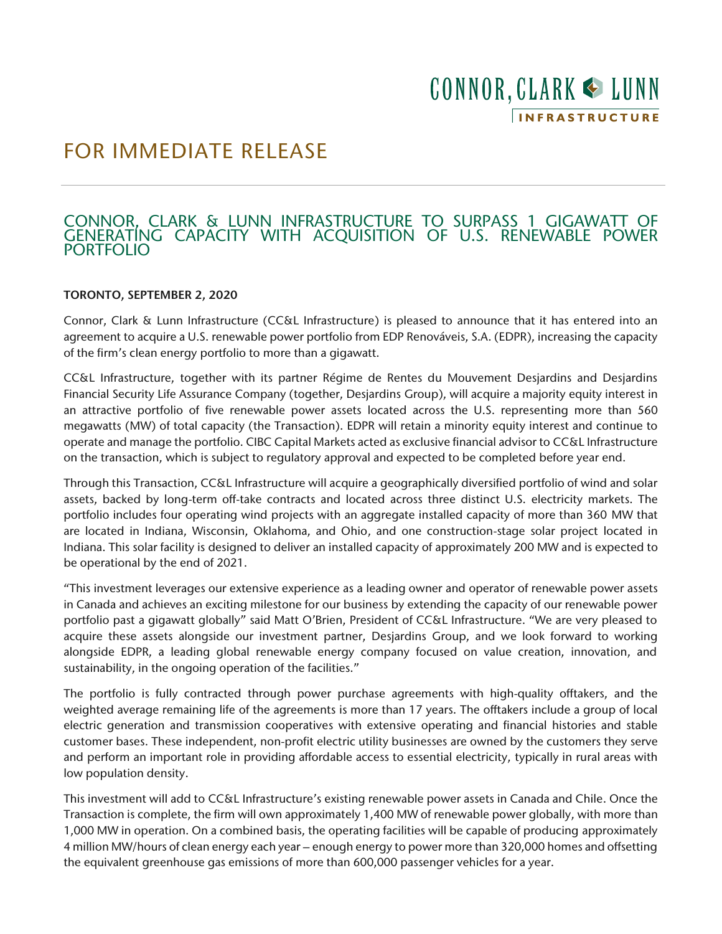# CONNOR, CLARK & LUNN **INFRASTRUCTURE**

## FOR IMMEDIATE RELEASE

### CONNOR, CLARK & LUNN INFRASTRUCTURE TO SURPASS 1 GIGAWATT OF GENERATING CAPACITY WITH ACQUISITION OF U.S. RENEWABLE POWER PORTFOLIO

#### TORONTO, SEPTEMBER 2, 2020

Connor, Clark & Lunn Infrastructure (CC&L Infrastructure) is pleased to announce that it has entered into an agreement to acquire a U.S. renewable power portfolio from EDP Renováveis, S.A. (EDPR), increasing the capacity of the firm's clean energy portfolio to more than a gigawatt.

CC&L Infrastructure, together with its partner Régime de Rentes du Mouvement Desjardins and Desjardins Financial Security Life Assurance Company (together, Desjardins Group), will acquire a majority equity interest in an attractive portfolio of five renewable power assets located across the U.S. representing more than 560 megawatts (MW) of total capacity (the Transaction). EDPR will retain a minority equity interest and continue to operate and manage the portfolio. CIBC Capital Markets acted as exclusive financial advisor to CC&L Infrastructure on the transaction, which is subject to regulatory approval and expected to be completed before year end.

Through this Transaction, CC&L Infrastructure will acquire a geographically diversified portfolio of wind and solar assets, backed by long-term off-take contracts and located across three distinct U.S. electricity markets. The portfolio includes four operating wind projects with an aggregate installed capacity of more than 360 MW that are located in Indiana, Wisconsin, Oklahoma, and Ohio, and one construction-stage solar project located in Indiana. This solar facility is designed to deliver an installed capacity of approximately 200 MW and is expected to be operational by the end of 2021.

"This investment leverages our extensive experience as a leading owner and operator of renewable power assets in Canada and achieves an exciting milestone for our business by extending the capacity of our renewable power portfolio past a gigawatt globally" said Matt O'Brien, President of CC&L Infrastructure. "We are very pleased to acquire these assets alongside our investment partner, Desjardins Group, and we look forward to working alongside EDPR, a leading global renewable energy company focused on value creation, innovation, and sustainability, in the ongoing operation of the facilities."

The portfolio is fully contracted through power purchase agreements with high-quality offtakers, and the weighted average remaining life of the agreements is more than 17 years. The offtakers include a group of local electric generation and transmission cooperatives with extensive operating and financial histories and stable customer bases. These independent, non-profit electric utility businesses are owned by the customers they serve and perform an important role in providing affordable access to essential electricity, typically in rural areas with low population density.

This investment will add to CC&L Infrastructure's existing renewable power assets in Canada and Chile. Once the Transaction is complete, the firm will own approximately 1,400 MW of renewable power globally, with more than 1,000 MW in operation. On a combined basis, the operating facilities will be capable of producing approximately 4 million MW/hours of clean energy each year – enough energy to power more than 320,000 homes and offsetting the equivalent greenhouse gas emissions of more than 600,000 passenger vehicles for a year.